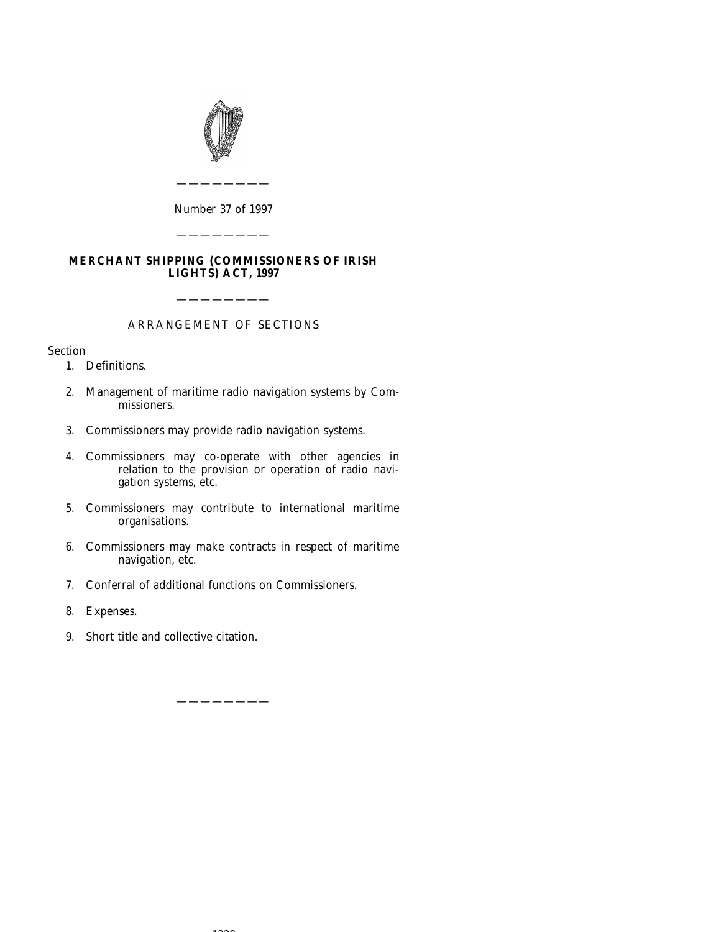

*Number* 37 *of* 1997

————————

# **MERCHANT SHIPPING (COMMISSIONERS OF IRISH LIGHTS) ACT, 1997**

————————

## ARRANGEMENT OF SECTIONS

————————

#### Section

- [1. Definitions.](#page-2-0)
- [2. Management of maritime radio navigation systems by Com](#page-2-0)missioners.
- [3. Commissioners may provide radio navigation systems.](#page-2-0)
- [4. Commissioners may co-operate with other agencies in](#page-3-0) relation to the provision or operation of radio navigation systems, etc.
- [5. Commissioners may contribute to international maritime](#page-3-0) organisations.
- [6. Commissioners may make contracts in respect of maritime](#page-3-0) navigation, etc.
- [7. Conferral of additional functions on Commissioners.](#page-4-0)
- [8. Expenses.](#page-4-0)
- [9. Short title and collective citation.](#page-4-0)

————————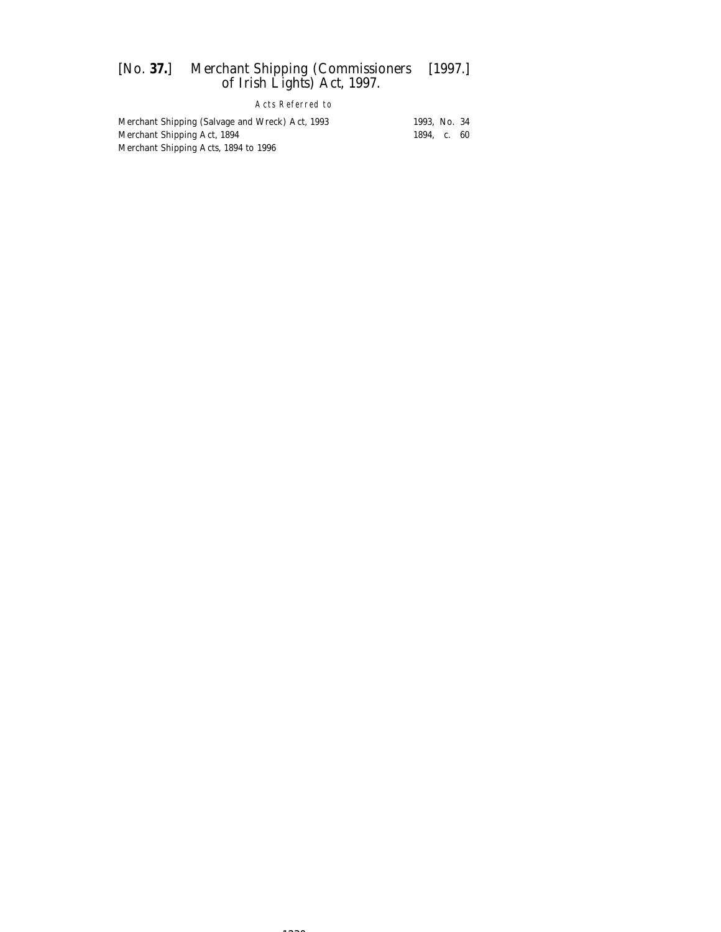# [*No.* **37.**] *Merchant Shipping (Commissioners* [1997.] *of Irish Lights) Act,* 1997.

### Acts Referred to

| Merchant Shipping (Salvage and Wreck) Act, 1993 | 1993. No. 34 |  |
|-------------------------------------------------|--------------|--|
| Merchant Shipping Act, 1894                     | 1894. c. 60  |  |
| Merchant Shipping Acts, 1894 to 1996            |              |  |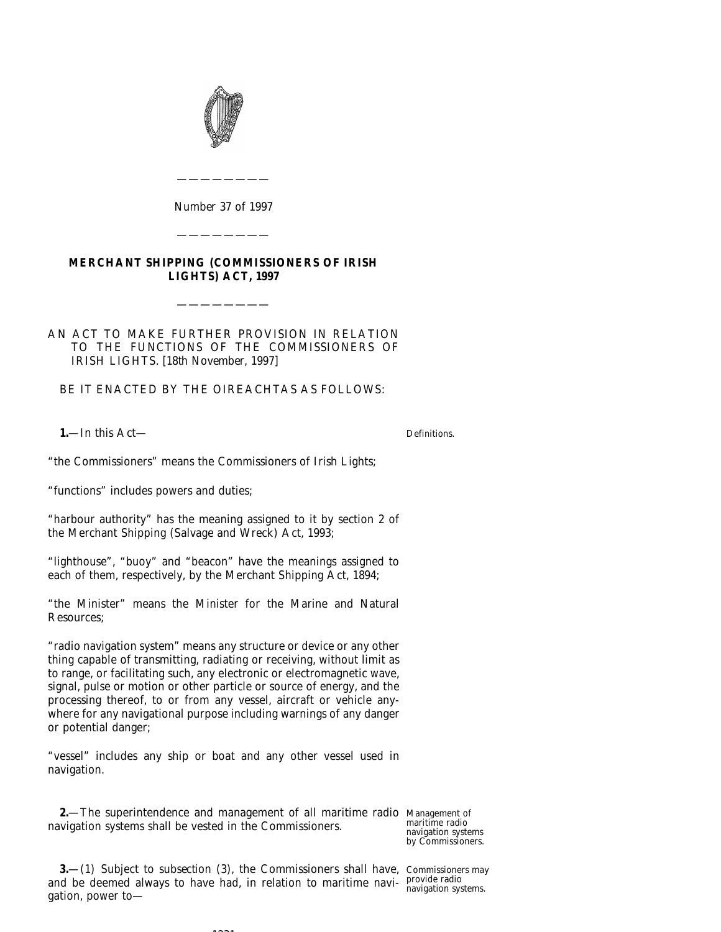<span id="page-2-0"></span>

*Number* 37 *of* 1997

————————

# **MERCHANT SHIPPING (COMMISSIONERS OF IRISH LIGHTS) ACT, 1997**

————————

————————

AN ACT TO MAKE FURTHER PROVISION IN RELATION TO THE FUNCTIONS OF THE COMMISSIONERS OF IRISH LIGHTS. [18*th November,* 1997]

BE IT ENACTED BY THE OIREACHTAS AS FOLLOWS:

**1.**—In this Act—

Definitions.

"the Commissioners" means the Commissioners of Irish Lights;

"functions" includes powers and duties;

"harbour authority" has the meaning assigned to it by section 2 of the Merchant Shipping (Salvage and Wreck) Act, 1993;

"lighthouse", "buoy" and "beacon" have the meanings assigned to each of them, respectively, by the Merchant Shipping Act, 1894;

"the Minister" means the Minister for the Marine and Natural Resources;

"radio navigation system" means any structure or device or any other thing capable of transmitting, radiating or receiving, without limit as to range, or facilitating such, any electronic or electromagnetic wave, signal, pulse or motion or other particle or source of energy, and the processing thereof, to or from any vessel, aircraft or vehicle anywhere for any navigational purpose including warnings of any danger or potential danger;

"vessel" includes any ship or boat and any other vessel used in navigation.

**2.**—The superintendence and management of all maritime radio Management of navigation systems shall be vested in the Commissioners.

maritime radio navigation systems by Commissioners.

**3.**—(1) Subject to *subsection (3)*, the Commissioners shall have, Commissioners may and be deemed always to have had, in relation to maritime navi- provide radio navigation systems. gation, power to—

 $1231$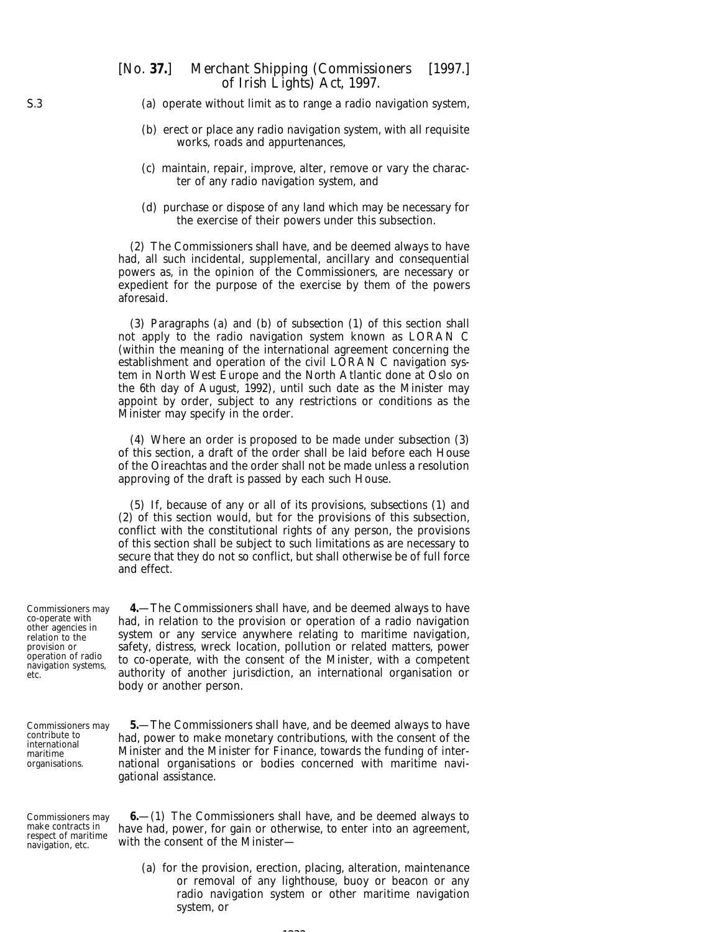- <span id="page-3-0"></span>(*a*) operate without limit as to range a radio navigation system,
- (*b*) erect or place any radio navigation system, with all requisite works, roads and appurtenances,
- (*c*) maintain, repair, improve, alter, remove or vary the character of any radio navigation system, and
- (*d*) purchase or dispose of any land which may be necessary for the exercise of their powers under this subsection.

(2) The Commissioners shall have, and be deemed always to have had, all such incidental, supplemental, ancillary and consequential powers as, in the opinion of the Commissioners, are necessary or expedient for the purpose of the exercise by them of the powers aforesaid.

(3) *Paragraphs (a)* and *(b)* of *subsection (1)* of this section shall not apply to the radio navigation system known as LORAN C (within the meaning of the international agreement concerning the establishment and operation of the civil LORAN C navigation system in North West Europe and the North Atlantic done at Oslo on the 6th day of August, 1992), until such date as the Minister may appoint by order, subject to any restrictions or conditions as the Minister may specify in the order.

(4) Where an order is proposed to be made under *subsection (3)* of this section, a draft of the order shall be laid before each House of the Oireachtas and the order shall not be made unless a resolution approving of the draft is passed by each such House.

(5) If, because of any or all of its provisions, *subsections (1)* and *(2)* of this section would, but for the provisions of this subsection, conflict with the constitutional rights of any person, the provisions of this section shall be subject to such limitations as are necessary to secure that they do not so conflict, but shall otherwise be of full force and effect.

Commissioners may co-operate with other agencies in relation to the provision or operation of radio navigation systems, etc.

Commissioners may contribute to international maritime organisations.

Commissioners may make contracts in respect of maritime navigation, etc.

**4.**—The Commissioners shall have, and be deemed always to have had, in relation to the provision or operation of a radio navigation system or any service anywhere relating to maritime navigation, safety, distress, wreck location, pollution or related matters, power to co-operate, with the consent of the Minister, with a competent authority of another jurisdiction, an international organisation or body or another person.

**5.**—The Commissioners shall have, and be deemed always to have had, power to make monetary contributions, with the consent of the Minister and the Minister for Finance, towards the funding of international organisations or bodies concerned with maritime navigational assistance.

**6.**—(1) The Commissioners shall have, and be deemed always to have had, power, for gain or otherwise, to enter into an agreement, with the consent of the Minister-

(*a*) for the provision, erection, placing, alteration, maintenance or removal of any lighthouse, buoy or beacon or any radio navigation system or other maritime navigation system, or